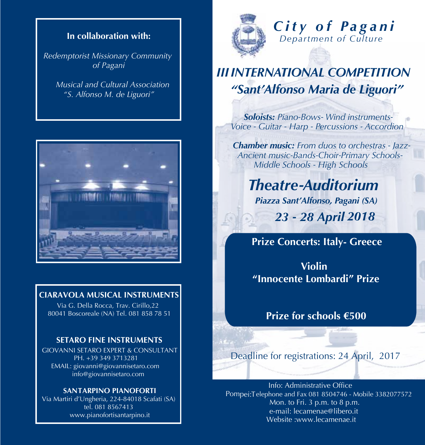

**In collaboration with:**

*Redemptorist Missionary Community of Pagani*

*Musical and Cultural Association "S. Alfonso M. de Liguori"*

### **CIARAVOLA MUSICAL INSTRUMENTS**

 Via G. Della Rocca, Trav. Cirillo,22 80041 Boscoreale (NA) Tel. 081 858 78 51

#### **SETARO FINE INSTRUMENTS**

GIOVANNI SETARO EXPERT & CONSULTANT PH.  $\overline{+39}$  349 3713281 EMAIL: giovanni@giovannisetaro.com info@giovannisetaro.com

#### **SANTARPINO PIANOFORTI**

Via Martiri d'Ungheria, 224-84018 Scafati (SA) tel. 081 8567413 www.pianofortisantarpino.it



## *C i t y o f Pa g a n i Department of Culture*

# *IIIINTERNATIONAL COMPETITION "Sant'Alfonso Maria de Liguori"*

*Soloists: Piano -Bows- Wind instruments-Voice - Guitar - Harp - Percussions - Accordion*

*Chamber music: From duos to orchestras - Jazz-Ancient music-Bands-Choir-Primary Schools-Middle Schools - High Schools*

*Theatre -Auditorium Piazza Sant'Alfonso, Pagani (SA) 2018 23 - 28 April*

 **Prize Concerts: Italy- Greece**

 **Violin "Innocente Lombardi" Prize**

 **Prize for schools €500**

Deadline for registrations: 24 April, 2017

Info: Administrative Office Mon. to Fri. 3 p.m. to 8 p.m. Pompei:Telephone and Fax 081 8504746 - Mobile 3382077572 e-mail: lecamenae@libero.it Website :www.lecamenae.it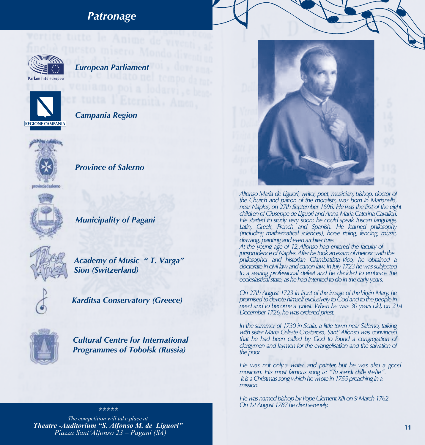### *Patronage*



#### *European Parliament*



*Campania Region*



*Province of Salerno*



*Municipality of Pagani*



*Academy of Music " T. Varga" Sion (Switzerland)*



*Karditsa Conservatory (Greece)*



*Cultural Centre for International Programmes of Tobolsk (Russia)*

#### *\*\*\*\*\**

*The competition will take place at Theatre -Auditorium "S. Alfonso M. de Liguori" Piazza Sant'Alfonso 23 – Pagani (SA)*



*Alfonso Maria de Liguori, writer, poet, musician, bishop, doctor of the Church and patron of the moralists, was born in Marianella, near Naples, on 27th September 1696. Hewasthe first of the eight children* of Giuseppe de Liguori and Anna Maria Caterina Cavalieri. *He started to study very soon; he could speakTuscan language, Latin, Greek, French and Spanish. He learned philosophy (including mathematical sciences), horse riding, fencing, music, drawing,painting andevenarchitecture. At the young age of 12,Alfonso had entered the faculty of jurisprudenceofNaples.Afterhetookanexamofrhetoricwiththe philosopher and historian Giambattista Vico, he obtained a*

*doctorateincivillawandcanonlaw.InJuly1723hewassubjected to a searing professional defeat and he decided to embrace the ecclesiastical state, as he had intented to do in the early years.* 

*On 27thAugust 1723 in front of the image of theVirgin Mary, he* promised to devote himself exclusively to God and to the people in *need and to become a priest. When he was 30 years old, on 21st* December 1726, he was ordered priest.

*In the summer of 1730 in Scala, a little town near Salerno, talking with sister Maria Celeste Crostarosa, Sant'Alfonso was convinced that he had been called by God to found a congregation of clergymen and laymen for the evangelisation and the salvation of* the poor.

*He was not only a writer and painter, but he was also a good musician. His most famous song is: "Tu scendi dalle stelle". It is a Christmas song which he wrote in 1755 preaching in a mission.*

He was named bishop by Pope Clement XIII on 9 March 1762. *On 1st August 1787 he died serenely.*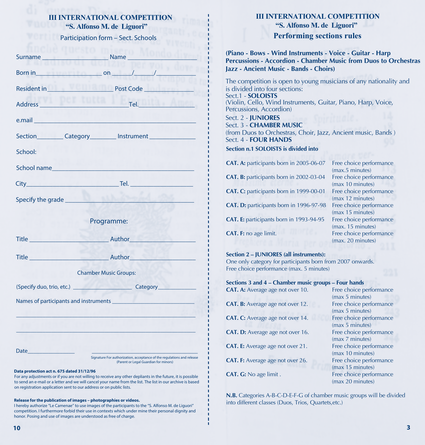#### **III INTERNATIONAL COMPETITION "S. Alfonso M. de Liguori"**

Participation form – Sect. Schools

| Surname                                                                                                                                                                                                                              | Name                                                                                                                                                                                                                     |
|--------------------------------------------------------------------------------------------------------------------------------------------------------------------------------------------------------------------------------------|--------------------------------------------------------------------------------------------------------------------------------------------------------------------------------------------------------------------------|
| Born in                                                                                                                                                                                                                              | $\mathbb{R}$ on $\mathbb{R}$                                                                                                                                                                                             |
| Resident in                                                                                                                                                                                                                          | Post Code                                                                                                                                                                                                                |
| Address                                                                                                                                                                                                                              | <u>Tel. Tel. In the Tel. In the Tel.</u>                                                                                                                                                                                 |
|                                                                                                                                                                                                                                      | e.mail and the contract of the contract of the contract of the contract of the contract of the contract of the                                                                                                           |
|                                                                                                                                                                                                                                      |                                                                                                                                                                                                                          |
| School:                                                                                                                                                                                                                              |                                                                                                                                                                                                                          |
| School name                                                                                                                                                                                                                          |                                                                                                                                                                                                                          |
|                                                                                                                                                                                                                                      | <b>City Tel.</b> Tel. <b>Tel. Tel. Tel. Tel. Tel. Tel. Tel. Tel. Tel. Tel. Tel. Tel. Tel. Tel. Tel. Tel. Tel. Tel. Tel. Tel. Tel. Tel. Tel. Tel. Tel. Tel. Tel. Tel. Tel. T</b>                                          |
| Specify the grade                                                                                                                                                                                                                    |                                                                                                                                                                                                                          |
|                                                                                                                                                                                                                                      | Programme:                                                                                                                                                                                                               |
| Title <b>Community</b>                                                                                                                                                                                                               | ____ Author                                                                                                                                                                                                              |
| Title <b>Express Contract Contract Contract Contract Contract Contract Contract Contract Contract Contract Contract Contract Contract Contract Contract Contract Contract Contract Contract Contract Contract Contract Contract </b> | Author                                                                                                                                                                                                                   |
|                                                                                                                                                                                                                                      | <b>Chamber Music Groups:</b>                                                                                                                                                                                             |
|                                                                                                                                                                                                                                      | (Specify duo, trio, etc.) Category                                                                                                                                                                                       |
|                                                                                                                                                                                                                                      | Names of participants and instruments                                                                                                                                                                                    |
|                                                                                                                                                                                                                                      |                                                                                                                                                                                                                          |
|                                                                                                                                                                                                                                      |                                                                                                                                                                                                                          |
| <b>Date</b>                                                                                                                                                                                                                          | Signature For authorization, acceptance of the regulations and release                                                                                                                                                   |
| Data protection act n. 675 dated 31/12/96                                                                                                                                                                                            | (Parent or Legal Guardian for minors)                                                                                                                                                                                    |
|                                                                                                                                                                                                                                      | For any adjustments or if you are not willing to receive any other depliants in the future, it is possible<br>to send an e-mail or a letter and we will cancel your name from the list. The list in our archive is based |

#### **Release for the publication of images – photographies or videos.**

on registration application sent to our address or on public lists.

I hereby authorize "Le Camenae" to use images of the participants to the "S. Alfonso M. de Liguori" competition. I furthermore forbid their use in contexts which under mine their personal dignity and honor. Posing and use of images are understood as free of charge.

### **"S. Alfonso M. de Liguori" III INTERNATIONAL COMPETITION**

#### **Performing sections rules**

**(Piano - Bows - Wind Instruments - Voice - Guitar - Harp Percussions - Accordion - Chamber Music from Duos to Orchestras Jazz - Ancient Music - Bands - Choirs)**

The competition is open to young musicians of any nationality and is divided into four sections: Sect.1 - **SOLOISTS** (Violin, Cello, Wind Instruments, Guitar, Piano, Harp, Voice, Percussions, Accordion) Sect. 2 - **JUNIORES** Sect. 3 - **CHAMBER MUSIC** (from Duos to Orchestras, Choir, Jazz, Ancient music, Bands ) Sect. 4 - **FOUR HANDS Section n.1 SOLOISTS is divided into CAT. A:** participants born in 2005-06-07 Free choice performance (max.5 minutes) **CAT. B:** participants born in 2002-03-04 Free choice performance (max 10 minutes) **CAT. C:** participants born in 1999-00-01 Free choice performance

(max 12 minutes)

(max. 20 minutes)

**CAT. D:** participants born in 1996-97-98 Free choice performance (max 15 minutes) **CAT. E:** participants born in 1993-94-95 Free choice performance (max. 15 minutes)

**CAT. F:** no age limit. **Figure 1 Free choice performance** 

*- - -*

*- - - - - -*

*-*

*- - - - - - -*

#### **Section 2 – JUNIORES (all instruments):**

One only category for participants born from 2007 onwards. Free choice performance (max. 5 minutes)

| Sections 3 and 4 – Chamber music groups – Four hands |                         |
|------------------------------------------------------|-------------------------|
| $CAT$ $\Lambda$ Average age not over 10              | Eree choice performance |

| $\frac{1}{2}$                           | . . ee enotee penommanee |
|-----------------------------------------|--------------------------|
|                                         | (max 5 minutes)          |
| <b>CAT. B:</b> Average age not over 12. | Free choice performance  |
|                                         | (max 5 minutes)          |
| <b>CAT. C:</b> Average age not over 14. | Free choice performance  |
|                                         | (max 5 minutes)          |
| <b>CAT. D:</b> Average age not over 16. | Free choice performance  |
|                                         | (max 7 minutes)          |
| <b>CAT. E:</b> Average age not over 21. | Free choice performance  |
|                                         | (max 10 minutes)         |
| <b>CAT. F:</b> Average age not over 26. | Free choice performance  |
|                                         | (max 15 minutes)         |
| CAT. G: No age limit.                   | Free choice performance  |
|                                         | (max 20 minutes)         |

**N.B.** Categories A-B-C-D-E-F-G of chamber music groups will be divided into different classes (Duos, Trios, Quartets,etc.)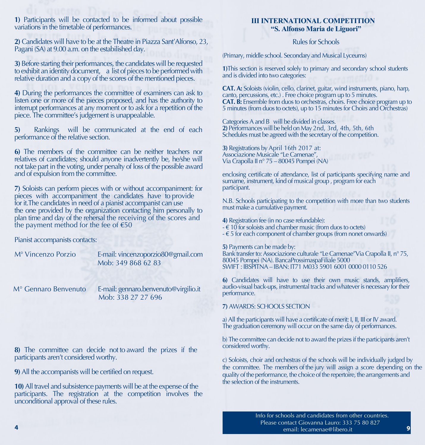**1)** Participants will be contacted to be informed about possible variations in the timetable of performances.

**2)** Candidates will have to be at the Theatre in Piazza Sant'Alfonso, 23, Pagani (SA) at 9.00 a.m. on the estabilished day.

**3)** Before starting their performances, the candidates will be requested to exhibit an identity document, a list of pieces to be performed with relative duration and a copy of the scores of the mentioned pieces.

**4)** During the performances the committee of examiners can ask to listen one or more of the pieces proposed, and has the authority to interrupt performances at any moment or to ask for a repetition of the piece. The committee's judgement is unappealable.

**5)** Rankings will be communicated at the end of each performance of the relative section.

**6)** The members of the committee can be neither teachers nor relatives of candidates; should anyone inadvertently be, he/she will not take part in the voting, under penalty of loss of the possible award and of expulsion from the committee.

**7)** Soloists can perform pieces with or without accompaniment: for pieces with accompaniment the candidates have to provide for it.The candidates in need of a pianist accompanist can use the one provided by the organization contacting him personally to plan time and day of the rehersal the receiving of the scores and the payment method for the fee of  $\epsilon$ 50

Pianist accompanists contacts:

M° Vincenzo Porzio E-mail: vincenzoporzio80@gmail.com Mob: 349 868 62 83

M<sup>°</sup> Gennaro Benvenuto

E-mail: gennaro.benvenuto@virgilio.it Mob: 338 27 27 696

**8)** The committee can decide not to award the prizes if the participants aren't considered worthy.

**9)** All the accompanists will be certified on request.

**10)**All travel and subsistence payments will be at the expense of the participants. The registration at the competition involves the unconditional approval of these rules.

#### **"S. Alfonso Maria de Liguori" III INTERNATIONAL COMPETITION**

#### Rules for Schools

(Primary, middle school. Secondary and Musical Lyceums)

**1)**This section is reserved solely to primary and secondary school students and is divided into two categories:

**CAT. A:** Soloists (violin, cello, clarinet, guitar, wind instruments, piano, harp, canto, percussions, etc.) . Free choice program up to 5 minutes. **CAT. B:** Ensemble from duos to orchestras, choirs. Free choice program up to 5 minutes (from duos to octets), up to 15 minutes for Choirs and Orchestras)

Categories A and B will be divided in classes. 2) Performances will be held on May 2nd, 3rd, 4th, 5th, 6th Schedules must be agreed with the secretary of the competition.

**3)** Registrations by April 16th 2017 at: Associazione Musicale "Le Camenae", Via Crapolla II n° 75 – 80045 Pompei (NA)

enclosing certificate of attendance, list of participants specifying name and surname, instrument, kind of musical group , program for each participant.

N.B. Schools participating to the competition with more than two students must make a cumulative payment.

**4)** Registration fee (in no case refundable):  $\epsilon$  10 for soloists and chamber music (from duos to octets)  $\epsilon$  5 for each component of chamber groups (from nonet onwards)

**5)** Payments can be made by: Bank transfer to: Associazione culturale "Le Camenae" Via Crapolla II, n° 75, 80045 Pompei (NA). BancaProssimaspaFiliale 5000 SWIFT : IBSPITNA – IBAN: IT71 M033 5901 6001 0000 0110 526

**6)** Candidates will have to use their own music stands, amplifiers, audio-visual back-ups, instrumental tracks and whateveris necessary fortheir performance.

**7)** AWARDS: SCHOOLS SECTION

a) All the participants will have a certificate of merit: I, II, III or IV award. The graduation ceremony will occur on the same day of performances.

b) The committee can decide not to award the prizes if the participants aren't considered worthy.

c) Soloists, choir and orchestras of the schools will be individually judged by the committee. The members of the jury will assign a score depending on the quality of the performance, the choice of the repertoire, the arrangements and the selection of the instruments.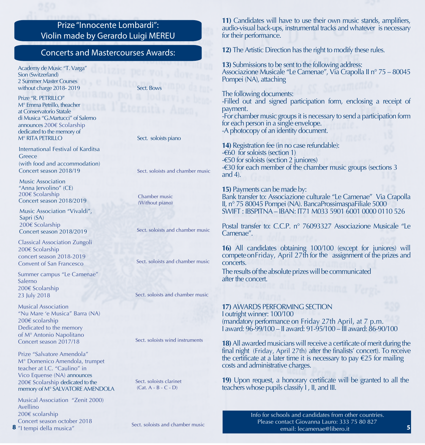### Prize "Innocente Lombardi": Violin made by Gerardo Luigi MEREU

#### Concerts and Mastercourses Awards:

Academy de Music "T. Varga" Sion (Switzerland) 2 Summer Master Courses without charge 2018- 2019 Sect. Bows

Prize "R. PETRILLO" M° Emma Petrillo, theacher at Conservatorio Statale di Musica "G.Martucci" of Salerno announces 200€ Scolarship dedicated to the memory of<br>M° RITA PETRILLO

International Festival of Karditsa Greece (with food and accommodation) Concert season 2018/19

 "Anna Jervolino" (CE) Music Association 200€ Scolarship Concert season 2018/2019

Music Association "Vivaldi", Sapri (SA) 200€ Scolarship Concert season 2018/2019

Classical Association Zungoli 200€ Scolarship concert season 2018-2019 Convent of San Francesco

Summer campus "Le Camenae" Salerno 200€ Scolarship 23 July 2018

Musical Association "Nu Mare 'e Musica" Barra (NA) 200€ scolarship Dedicated to the memory of M° Antonio Napolitano Concert season 2017/18

Prize "Salvatore Amendola" M° Domenico Amendola, trumpet teacher at I.C. "Caulino" in Vico Equense (NA) announces 200€ Scolarship dedicated to the memory of M° SALVATORE AMENDOLA

**8** "I tempi della musica" Musical Association "Zenit 2000) Avellino 200€ scolarship Concert season october 2018

#### Sect. soloists piano

Sect. soloists and chamber music

Chamber music (Without piano)

Sect. soloists and chamber music

Sect. soloists and chamber music

Sect. soloists and chamber music

Sect. soloists wind instruments

Sect. soloists clarinet (Cat. A - B - C - D)

**11)** Candidates will have to use their own music stands, amplifiers, audio-visual back-ups, instrumental tracks and whatever is necessary for their performance.

**12)** The Artistic Direction has the right to modify these rules.

**13)** Submissions to be sent to the following address: Associazione Musicale "Le Camenae", Via Crapolla II n° 75 – 80045 Pompei (NA), attaching

The following documents: -Filled out and signed participation form, enclosing a receipt of payment. -For chamber music groups it is necessary to send a participation form for each person in a single envelope. -A photocopy of an identity document. Resident in\_\_\_\_\_\_\_\_\_\_\_\_\_\_\_\_\_\_\_\_ Post Code

**14)** Registration fee (in no case refundable): -€60 for soloists (section 1) -€50 for soloists (section 2 juniores) -€30 for each member of the chamber music groups (sections 3 and 4).

**15)** Payments can be made by: Bank transfer to: Associazione culturale "Le Camenae" Via Crapolla II, n° 75 80045 Pompei (NA). BancaProssimaspaFiliale 5000 SWIFT : IBSPITNA – IBAN: IT71 M033 5901 6001 0000 0110 526

Postal transfer to: C.C.P. n° 76093327 Associazione Musicale "Le Camenae".

**16)** All candidates obtaining 100/100 (except for juniores) will competeon Friday, April 27th for the assignment of the prizes and concerts.

The results of the absolute prizes will be communicated after the concert.

**17)** AWARDS PERFORMING SECTION I outright winner: 100/100 (mandatory performance on Friday 27th April, at 7 p.m. I award: 96-99/100 – II award: 91-95/100 – III award: 86-90/100

**18)** All awarded musicians will receive a certificate of merit during the final night (Friday, April 27th) after the finalists' concert). To receive the certificate at a later time it is necessary to pay  $\epsilon$ 25 for mailing costs and administrative charges.

**19)** Upon request, a honorary certificate will be granted to all the teachers whose pupils classify I , II, and III.

Sect. soloists and chamber music

 Info for schools and candidates from other countries. Please contact Giovanna Lauro: 333 75 80 827 email: lecamenae@libero.it **5**